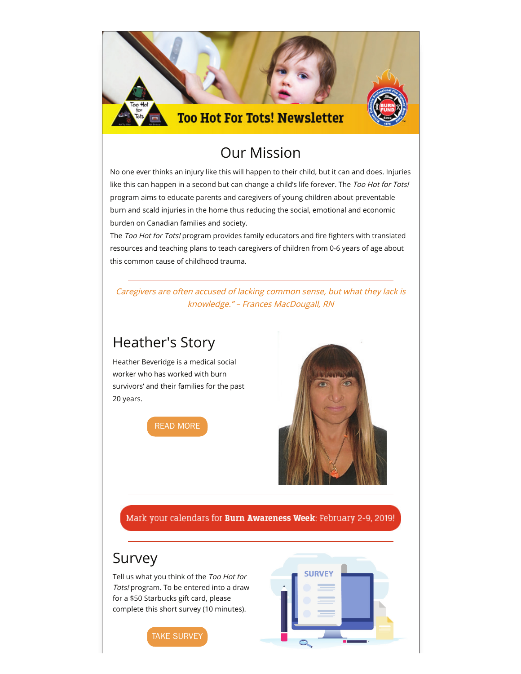

### Our Mission

No one ever thinks an injury like this will happen to their child, but it can and does. Injuries like this can happen in a second but can change a child's life forever. The Too Hot for Tots! program aims to educate parents and caregivers of young children about preventable burn and scald injuries in the home thus reducing the social, emotional and economic burden on Canadian families and society.

|<br>| The *Too Hot for Tots!* program provides family educators and fire fighters with translated | resources and teaching plans to teach caregivers of children from 0-6 years of age about<br>this common cause of childhood trauma. this common cause of childhood trauma.

**Boost your audience** Caregivers are often accused of lacking common sense, but what they lack is publish your next email to Facebook & Twitter knowledge." – Frances MacDougall, RN

### Heather's Story

**7**

survivors' and their families for the past Heather Beveridge is a medical social worker who has worked with burn 20 years.





**Followers**

Mark your calendars for Burn Awareness Week: February 2-9, 2019!

### Survey

Tell us what you think of the Too Hot for Tots! program. To be entered into a draw for a \$50 Starbucks gift card, please complete this short survey (10 minutes).



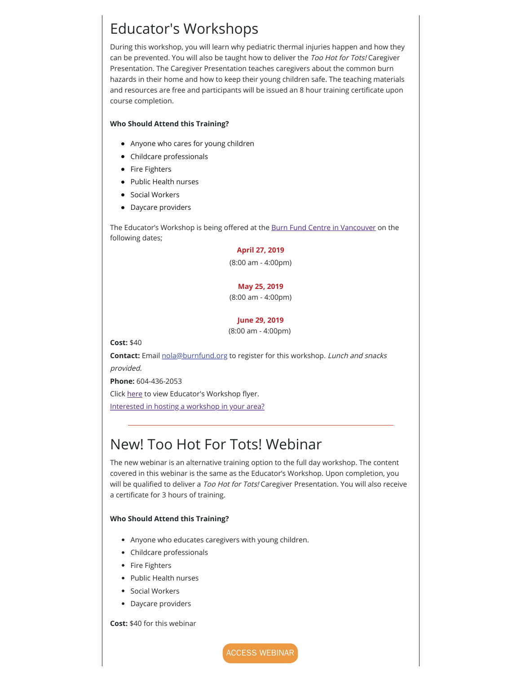## $\parallel$  Educator's Workshops it. Resenting the sense is that did not open it. Reserves it. Reserves it. Reserves it. Reserves it. Reserves it. Reserves it. Reserves it. Reserves it. Reserves it. Reserves it. Reserves it. Rese

Presentation. The Caregiver Presentation teaches caregivers about the common burn During this workshop, you will learn why pediatric thermal injuries happen and how they can be prevented. You will also be taught how to deliver the Too Hot for Tots! Caregiver hazards in their home and how to keep their young children safe. The teaching materials and resources are free and participants will be issued an 8 hour training certi�cate upon course completion.

**Social**

**Followers**

**Boost your audience** publish your next email to Facebook & Twitter

#### **Who Should Attend this Training?**

- **Email** Anyone who cares for young children
	- Childcare professionals
	- **0** • Fire Fighters
- **Sent** • Public Health nurses
	- **•** Social Workers
	- $\mathbf{F}$ • Daycare providers

The Educator's Workshop is being offered at the **Burn Fund Centre in Vancouver** on the following dates;

#### **April 27, 2019**

(8:00 am - 4:00pm)

#### **May 25, 2019**

(8:00 am - 4:00pm)

#### **June 29, 2019**

(8:00 am - 4:00pm)

**Cost:** \$40

Bounces: **0** (0%) View

**Contact:** Email **nola@burnfund.org** to register for this workshop. *Lunch and snacks* provided.

**Phone:** 604-436-2053

Click [here](https://drive.google.com/file/d/11rtgmLQzVtX9nAhZp1ee7FLu5Su4Supz/view) to view Educator's Workshop flyer.

[Interested in hosting a workshop in your area?](https://drive.google.com/file/d/1RIM8wHFToDnHqzhYBXlacLY7QwI2Ubnh/view)

### New! Too Hot For Tots! Webinar

The new webinar is an alternative training option to the full day workshop. The content covered in this webinar is the same as the Educator's Workshop. Upon completion, you will be qualified to deliver a Too Hot for Tots! Caregiver Presentation. You will also receive a certificate for 3 hours of training.

#### **Who Should Attend this Training?**

- Anyone who educates caregivers with young children.
- Childcare professionals
- Fire Fighters
- Public Health nurses
- Social Workers
- Daycare providers

#### **Cost:** \$40 for this webinar

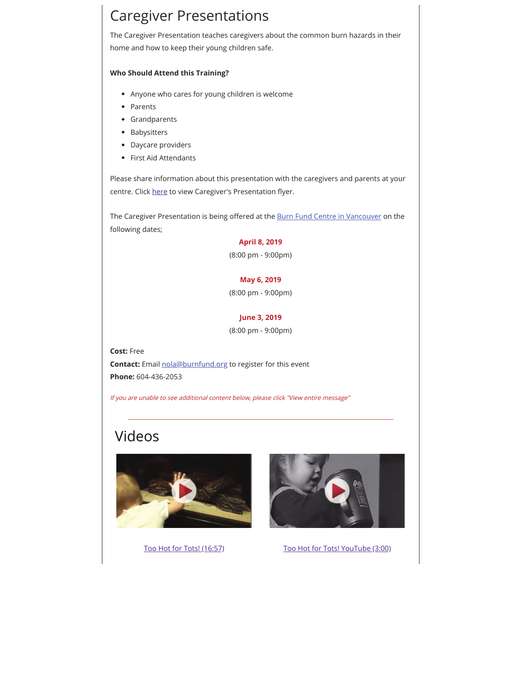### **Caregiver Presentations**

 $S_{\rm B}$  ,  $S_{\rm B}$  ,  $S_{\rm C}$  and  $S_{\rm B}$  and  $S_{\rm B}$  reports Create: List of Non $R$ The Caregiver Presentation teaches caregivers about the common burn hazards in their home and how to keep their young children safe.

#### **Who Should Attend this Training?**

- Overview Device � Geographic � Heat Map � Domains � Compare � Lists � Anyone who cares for young children is welcome
	- Parents

**Email**

- Grandparents
- Babysitters
- **Company Reserves the Senate open it. Reserves that discussed the email open it. Reserves that discussed Email to experimental to experimental the senate of**  $\mathbb{R}^n$ 
	- First Aid Attendants

Please share information about this presentation with the caregivers and parents at your<br>-All lists centre. Click <u>[here](https://drive.google.com/file/d/1KFS-B_V-ZQpXJMBMNcHfc2NgrtSELDCr/view)</u> to view Caregiver's Presentation flyer.

The Caregiver Presentation is being offered at the [Burn Fund Centre in Vancouver](https://www.google.com/maps/place/Burn+Fund+Centre/@49.2503504,-123.1034045,17z/data=!3m1!4b1!4m5!3m4!1s0x548673fa1b970013:0x342e6e1b3765cf56!8m2!3d49.2503504!4d-123.1012158?shorturl=1) on the following dates;

#### **April 8, 2019**

(8:00 pm - 9:00pm)

#### **May 6, 2019**

(8:00 pm - 9:00pm)

### **June 3, 2019**

(8:00 pm - 9:00pm)

**Cost:** Free **Contact:** Email nola@burnfund.org to register for this event **Phone:** 604-436-2053

If you are unable to see additional content below, please click "View entire message"

# Videos

Bounces: **0** (0%) View







**Social**

**Followers**

**Boost your audience** publish your next email to Facebook & Twitter

[Too Hot for Tots! \(16:57\)](http://mediasite.phsa.ca/Mediasite/Play/4caf87d91f844660b1902b7aaba2122f1d) [Too Hot for Tots! YouTube \(3:00\)](https://www.youtube.com/watch?t=12s&v=Za8GloMyR1c)